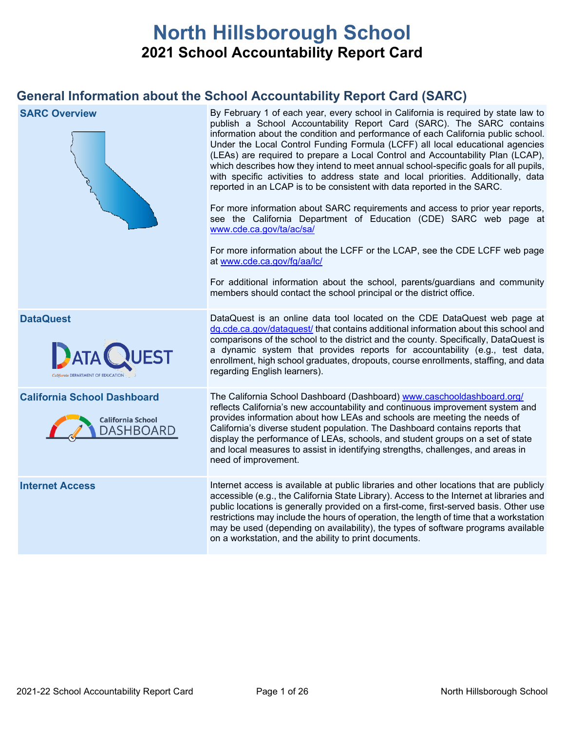# **North Hillsborough School 2021 School Accountability Report Card**

# **General Information about the School Accountability Report Card (SARC)**

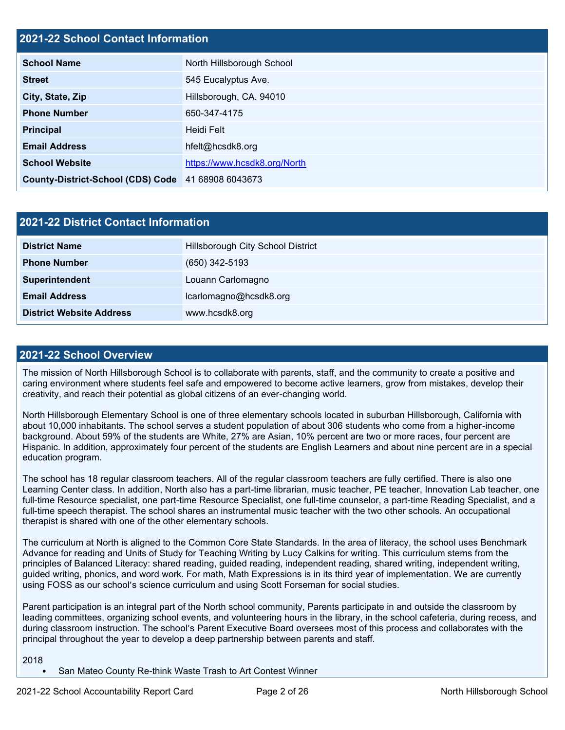## **2021-22 School Contact Information**

| <b>School Name</b>                                 | North Hillsborough School    |
|----------------------------------------------------|------------------------------|
| <b>Street</b>                                      | 545 Eucalyptus Ave.          |
| City, State, Zip                                   | Hillsborough, CA. 94010      |
| <b>Phone Number</b>                                | 650-347-4175                 |
| <b>Principal</b>                                   | Heidi Felt                   |
| <b>Email Address</b>                               | hfelt@hcsdk8.org             |
| <b>School Website</b>                              | https://www.hcsdk8.org/North |
| County-District-School (CDS) Code 41 68908 6043673 |                              |

| <b>2021-22 District Contact Information</b> |                                   |  |  |  |  |  |  |
|---------------------------------------------|-----------------------------------|--|--|--|--|--|--|
| <b>District Name</b>                        | Hillsborough City School District |  |  |  |  |  |  |
| <b>Phone Number</b>                         | $(650)$ 342-5193                  |  |  |  |  |  |  |
| Superintendent                              | Louann Carlomagno                 |  |  |  |  |  |  |
| <b>Email Address</b>                        | lcarlomagno@hcsdk8.org            |  |  |  |  |  |  |
| <b>District Website Address</b>             | www.hcsdk8.org                    |  |  |  |  |  |  |

### **2021-22 School Overview**

The mission of North Hillsborough School is to collaborate with parents, staff, and the community to create a positive and caring environment where students feel safe and empowered to become active learners, grow from mistakes, develop their creativity, and reach their potential as global citizens of an ever-changing world.

North Hillsborough Elementary School is one of three elementary schools located in suburban Hillsborough, California with about 10,000 inhabitants. The school serves a student population of about 306 students who come from a higher-income background. About 59% of the students are White, 27% are Asian, 10% percent are two or more races, four percent are Hispanic. In addition, approximately four percent of the students are English Learners and about nine percent are in a special education program.

The school has 18 regular classroom teachers. All of the regular classroom teachers are fully certified. There is also one Learning Center class. In addition, North also has a part-time librarian, music teacher, PE teacher, Innovation Lab teacher, one full-time Resource specialist, one part-time Resource Specialist, one full-time counselor, a part-time Reading Specialist, and a full-time speech therapist. The school shares an instrumental music teacher with the two other schools. An occupational therapist is shared with one of the other elementary schools.

The curriculum at North is aligned to the Common Core State Standards. In the area of literacy, the school uses Benchmark Advance for reading and Units of Study for Teaching Writing by Lucy Calkins for writing. This curriculum stems from the principles of Balanced Literacy: shared reading, guided reading, independent reading, shared writing, independent writing, guided writing, phonics, and word work. For math, Math Expressions is in its third year of implementation. We are currently using FOSS as our school's science curriculum and using Scott Forseman for social studies.

Parent participation is an integral part of the North school community, Parents participate in and outside the classroom by leading committees, organizing school events, and volunteering hours in the library, in the school cafeteria, during recess, and during classroom instruction. The school's Parent Executive Board oversees most of this process and collaborates with the principal throughout the year to develop a deep partnership between parents and staff.

```
2018
```
• San Mateo County Re-think Waste Trash to Art Contest Winner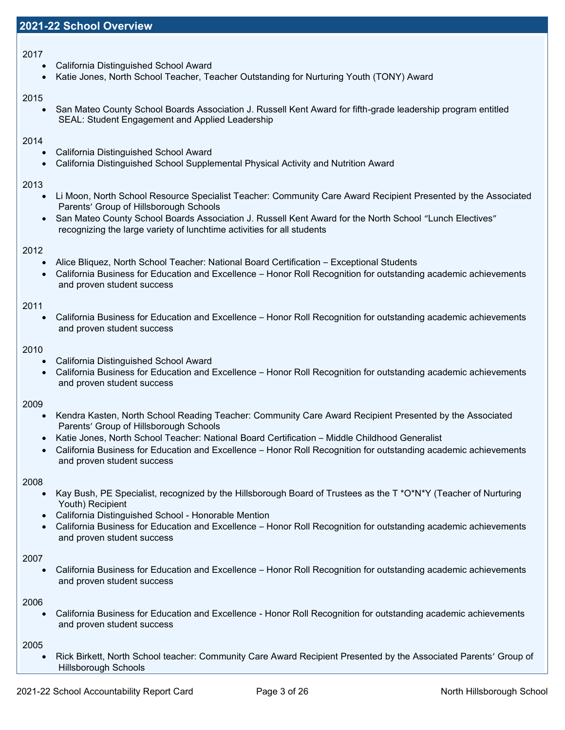### 2017

- California Distinguished School Award
- Katie Jones, North School Teacher, Teacher Outstanding for Nurturing Youth (TONY) Award

### 2015

• San Mateo County School Boards Association J. Russell Kent Award for fifth-grade leadership program entitled SEAL: Student Engagement and Applied Leadership

### 2014

- California Distinguished School Award
- California Distinguished School Supplemental Physical Activity and Nutrition Award

### 2013

- Li Moon, North School Resource Specialist Teacher: Community Care Award Recipient Presented by the Associated Parents' Group of Hillsborough Schools
- San Mateo County School Boards Association J. Russell Kent Award for the North School "Lunch Electives" recognizing the large variety of lunchtime activities for all students

### 2012

- Alice Bliquez, North School Teacher: National Board Certification Exceptional Students
- California Business for Education and Excellence Honor Roll Recognition for outstanding academic achievements and proven student success

### 2011

• California Business for Education and Excellence – Honor Roll Recognition for outstanding academic achievements and proven student success

### 2010

- California Distinguished School Award
- California Business for Education and Excellence Honor Roll Recognition for outstanding academic achievements and proven student success

### 2009

- Kendra Kasten, North School Reading Teacher: Community Care Award Recipient Presented by the Associated Parents' Group of Hillsborough Schools
- Katie Jones, North School Teacher: National Board Certification Middle Childhood Generalist
- California Business for Education and Excellence Honor Roll Recognition for outstanding academic achievements and proven student success

### 2008

- Kay Bush, PE Specialist, recognized by the Hillsborough Board of Trustees as the T \*O\*N\*Y (Teacher of Nurturing Youth) Recipient
- California Distinguished School Honorable Mention
- California Business for Education and Excellence Honor Roll Recognition for outstanding academic achievements and proven student success

### 2007

• California Business for Education and Excellence – Honor Roll Recognition for outstanding academic achievements and proven student success

### 2006

• California Business for Education and Excellence - Honor Roll Recognition for outstanding academic achievements and proven student success

2005

• Rick Birkett, North School teacher: Community Care Award Recipient Presented by the Associated Parents' Group of Hillsborough Schools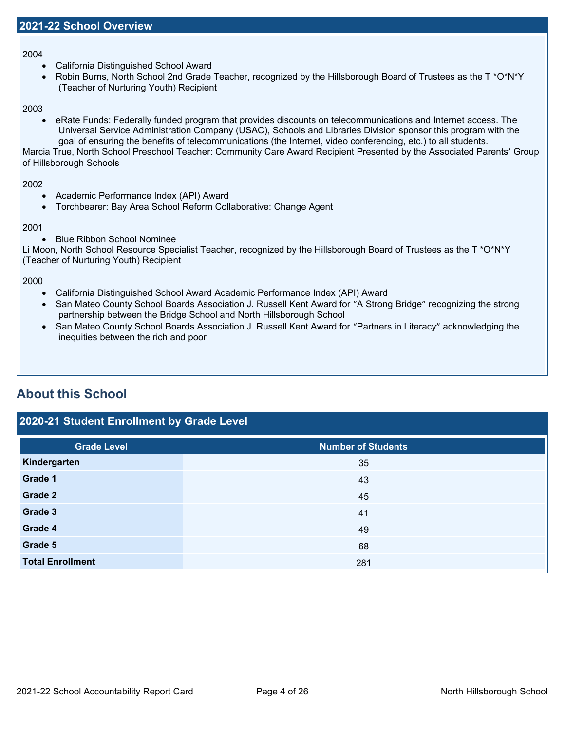2004

- California Distinguished School Award
- Robin Burns, North School 2nd Grade Teacher, recognized by the Hillsborough Board of Trustees as the T \*O\*N\*Y (Teacher of Nurturing Youth) Recipient

2003

• eRate Funds: Federally funded program that provides discounts on telecommunications and Internet access. The Universal Service Administration Company (USAC), Schools and Libraries Division sponsor this program with the goal of ensuring the benefits of telecommunications (the Internet, video conferencing, etc.) to all students.

Marcia True, North School Preschool Teacher: Community Care Award Recipient Presented by the Associated Parents' Group of Hillsborough Schools

2002

- Academic Performance Index (API) Award
- Torchbearer: Bay Area School Reform Collaborative: Change Agent

### 2001

• Blue Ribbon School Nominee

Li Moon, North School Resource Specialist Teacher, recognized by the Hillsborough Board of Trustees as the T \*O\*N\*Y (Teacher of Nurturing Youth) Recipient

2000

- California Distinguished School Award Academic Performance Index (API) Award
- San Mateo County School Boards Association J. Russell Kent Award for "A Strong Bridge" recognizing the strong partnership between the Bridge School and North Hillsborough School
- San Mateo County School Boards Association J. Russell Kent Award for "Partners in Literacy" acknowledging the inequities between the rich and poor

# **About this School**

## **2020-21 Student Enrollment by Grade Level**

| <b>Grade Level</b>      | <b>Number of Students</b> |
|-------------------------|---------------------------|
| Kindergarten            | 35                        |
| Grade 1                 | 43                        |
| Grade 2                 | 45                        |
| Grade 3                 | 41                        |
| Grade 4                 | 49                        |
| Grade 5                 | 68                        |
| <b>Total Enrollment</b> | 281                       |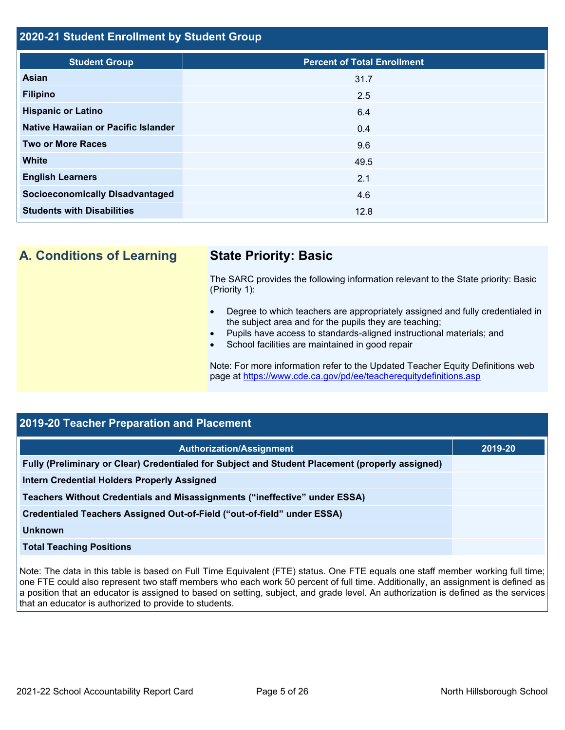### **2020-21 Student Enrollment by Student Group**

| <b>Student Group</b>                   | <b>Percent of Total Enrollment</b> |
|----------------------------------------|------------------------------------|
| Asian                                  | 31.7                               |
| <b>Filipino</b>                        | 2.5                                |
| <b>Hispanic or Latino</b>              | 6.4                                |
| Native Hawaiian or Pacific Islander    | 0.4                                |
| <b>Two or More Races</b>               | 9.6                                |
| <b>White</b>                           | 49.5                               |
| <b>English Learners</b>                | 2.1                                |
| <b>Socioeconomically Disadvantaged</b> | 4.6                                |
| <b>Students with Disabilities</b>      | 12.8                               |

**A. Conditions of Learning State Priority: Basic**

The SARC provides the following information relevant to the State priority: Basic (Priority 1):

- Degree to which teachers are appropriately assigned and fully credentialed in the subject area and for the pupils they are teaching;
- Pupils have access to standards-aligned instructional materials; and
- School facilities are maintained in good repair

Note: For more information refer to the Updated Teacher Equity Definitions web page at<https://www.cde.ca.gov/pd/ee/teacherequitydefinitions.asp>

# **2019-20 Teacher Preparation and Placement**

| <b>Authorization/Assignment</b>                                                                 | 2019-20 |
|-------------------------------------------------------------------------------------------------|---------|
| Fully (Preliminary or Clear) Credentialed for Subject and Student Placement (properly assigned) |         |
| Intern Credential Holders Properly Assigned                                                     |         |
| Teachers Without Credentials and Misassignments ("ineffective" under ESSA)                      |         |
| Credentialed Teachers Assigned Out-of-Field ("out-of-field" under ESSA)                         |         |
| Unknown                                                                                         |         |
| <b>Total Teaching Positions</b>                                                                 |         |

Note: The data in this table is based on Full Time Equivalent (FTE) status. One FTE equals one staff member working full time; one FTE could also represent two staff members who each work 50 percent of full time. Additionally, an assignment is defined as a position that an educator is assigned to based on setting, subject, and grade level. An authorization is defined as the services that an educator is authorized to provide to students.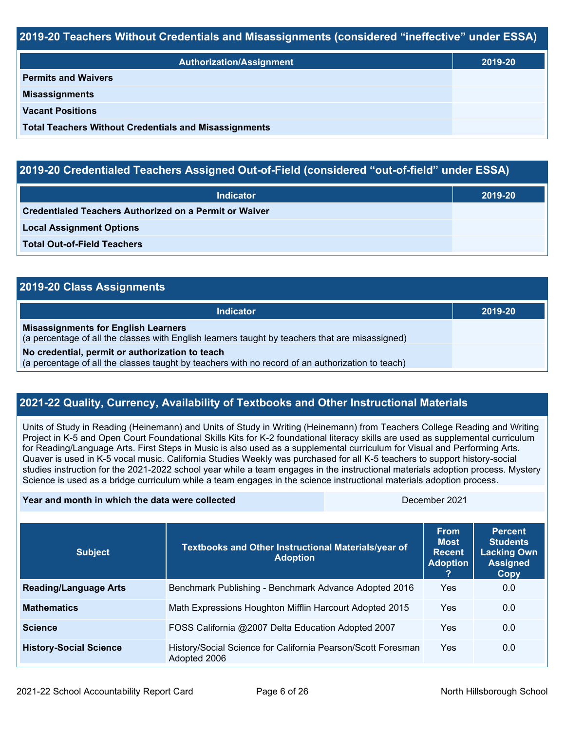### **2019-20 Teachers Without Credentials and Misassignments (considered "ineffective" under ESSA)**

| <b>Authorization/Assignment</b>                              | 2019-20 |
|--------------------------------------------------------------|---------|
| <b>Permits and Waivers</b>                                   |         |
| <b>Misassignments</b>                                        |         |
| <b>Vacant Positions</b>                                      |         |
| <b>Total Teachers Without Credentials and Misassignments</b> |         |

# **2019-20 Credentialed Teachers Assigned Out-of-Field (considered "out-of-field" under ESSA)**

| <b>Indicator</b>                                       | 2019-20 |
|--------------------------------------------------------|---------|
| Credentialed Teachers Authorized on a Permit or Waiver |         |
| <b>Local Assignment Options</b>                        |         |
| <b>Total Out-of-Field Teachers</b>                     |         |

| 2019-20 Class Assignments                                                                                                                           |         |
|-----------------------------------------------------------------------------------------------------------------------------------------------------|---------|
| <b>Indicator</b>                                                                                                                                    | 2019-20 |
| <b>Misassignments for English Learners</b><br>(a percentage of all the classes with English learners taught by teachers that are misassigned)       |         |
| No credential, permit or authorization to teach<br>(a percentage of all the classes taught by teachers with no record of an authorization to teach) |         |

# **2021-22 Quality, Currency, Availability of Textbooks and Other Instructional Materials**

Units of Study in Reading (Heinemann) and Units of Study in Writing (Heinemann) from Teachers College Reading and Writing Project in K-5 and Open Court Foundational Skills Kits for K-2 foundational literacy skills are used as supplemental curriculum for Reading/Language Arts. First Steps in Music is also used as a supplemental curriculum for Visual and Performing Arts. Quaver is used in K-5 vocal music. California Studies Weekly was purchased for all K-5 teachers to support history-social studies instruction for the 2021-2022 school year while a team engages in the instructional materials adoption process. Mystery Science is used as a bridge curriculum while a team engages in the science instructional materials adoption process.

### **Year and month in which the data were collected** December 2021

| <b>Subject</b>                | Textbooks and Other Instructional Materials/year of<br><b>Adoption</b>       | <b>From</b><br><b>Most</b><br><b>Recent</b><br><b>Adoption</b> | <b>Percent</b><br><b>Students</b><br><b>Lacking Own</b><br><b>Assigned</b><br><b>Copy</b> |
|-------------------------------|------------------------------------------------------------------------------|----------------------------------------------------------------|-------------------------------------------------------------------------------------------|
| <b>Reading/Language Arts</b>  | Benchmark Publishing - Benchmark Advance Adopted 2016                        | Yes                                                            | 0.0                                                                                       |
| <b>Mathematics</b>            | Math Expressions Houghton Mifflin Harcourt Adopted 2015                      | Yes                                                            | 0.0                                                                                       |
| <b>Science</b>                | FOSS California @2007 Delta Education Adopted 2007                           | Yes                                                            | 0.0                                                                                       |
| <b>History-Social Science</b> | History/Social Science for California Pearson/Scott Foresman<br>Adopted 2006 | Yes                                                            | 0.0                                                                                       |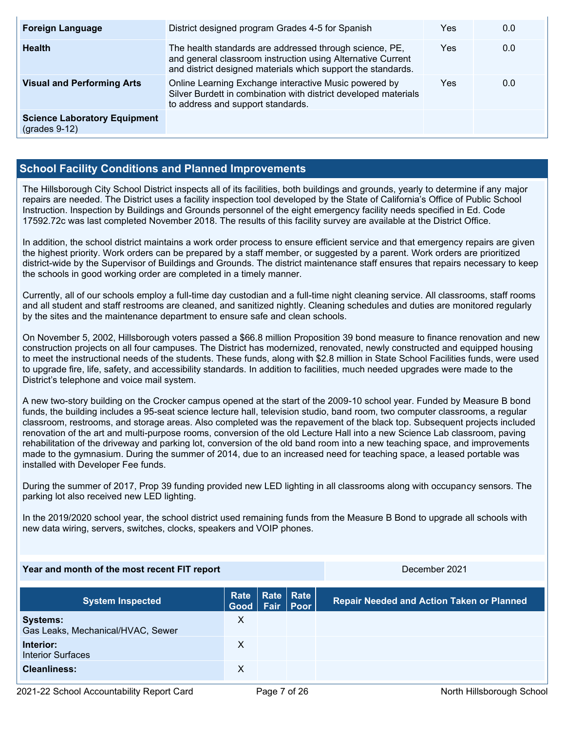| <b>Foreign Language</b>                                | District designed program Grades 4-5 for Spanish                                                                                                                                       | Yes | 0.0 |
|--------------------------------------------------------|----------------------------------------------------------------------------------------------------------------------------------------------------------------------------------------|-----|-----|
| <b>Health</b>                                          | The health standards are addressed through science, PE,<br>and general classroom instruction using Alternative Current<br>and district designed materials which support the standards. | Yes | 0.0 |
| <b>Visual and Performing Arts</b>                      | Online Learning Exchange interactive Music powered by<br>Silver Burdett in combination with district developed materials<br>to address and support standards.                          | Yes | 0.0 |
| <b>Science Laboratory Equipment</b><br>$(grades 9-12)$ |                                                                                                                                                                                        |     |     |

# **School Facility Conditions and Planned Improvements**

The Hillsborough City School District inspects all of its facilities, both buildings and grounds, yearly to determine if any major repairs are needed. The District uses a facility inspection tool developed by the State of California's Office of Public School Instruction. Inspection by Buildings and Grounds personnel of the eight emergency facility needs specified in Ed. Code 17592.72c was last completed November 2018. The results of this facility survey are available at the District Office.

In addition, the school district maintains a work order process to ensure efficient service and that emergency repairs are given the highest priority. Work orders can be prepared by a staff member, or suggested by a parent. Work orders are prioritized district-wide by the Supervisor of Buildings and Grounds. The district maintenance staff ensures that repairs necessary to keep the schools in good working order are completed in a timely manner.

Currently, all of our schools employ a full-time day custodian and a full-time night cleaning service. All classrooms, staff rooms and all student and staff restrooms are cleaned, and sanitized nightly. Cleaning schedules and duties are monitored regularly by the sites and the maintenance department to ensure safe and clean schools.

On November 5, 2002, Hillsborough voters passed a \$66.8 million Proposition 39 bond measure to finance renovation and new construction projects on all four campuses. The District has modernized, renovated, newly constructed and equipped housing to meet the instructional needs of the students. These funds, along with \$2.8 million in State School Facilities funds, were used to upgrade fire, life, safety, and accessibility standards. In addition to facilities, much needed upgrades were made to the District's telephone and voice mail system.

A new two-story building on the Crocker campus opened at the start of the 2009-10 school year. Funded by Measure B bond funds, the building includes a 95-seat science lecture hall, television studio, band room, two computer classrooms, a regular classroom, restrooms, and storage areas. Also completed was the repavement of the black top. Subsequent projects included renovation of the art and multi-purpose rooms, conversion of the old Lecture Hall into a new Science Lab classroom, paving rehabilitation of the driveway and parking lot, conversion of the old band room into a new teaching space, and improvements made to the gymnasium. During the summer of 2014, due to an increased need for teaching space, a leased portable was installed with Developer Fee funds.

During the summer of 2017, Prop 39 funding provided new LED lighting in all classrooms along with occupancy sensors. The parking lot also received new LED lighting.

In the 2019/2020 school year, the school district used remaining funds from the Measure B Bond to upgrade all schools with new data wiring, servers, switches, clocks, speakers and VOIP phones.

### **Year and month of the most recent FIT report** December 2021

| <b>System Inspected</b>                              | Rate   Rate   Rate<br>Good Fair Poor |  | <b>Repair Needed and Action Taken or Planned</b> |
|------------------------------------------------------|--------------------------------------|--|--------------------------------------------------|
| <b>Systems:</b><br>Gas Leaks, Mechanical/HVAC, Sewer | х                                    |  |                                                  |
| Interior:<br><b>Interior Surfaces</b>                | х                                    |  |                                                  |
| <b>Cleanliness:</b>                                  |                                      |  |                                                  |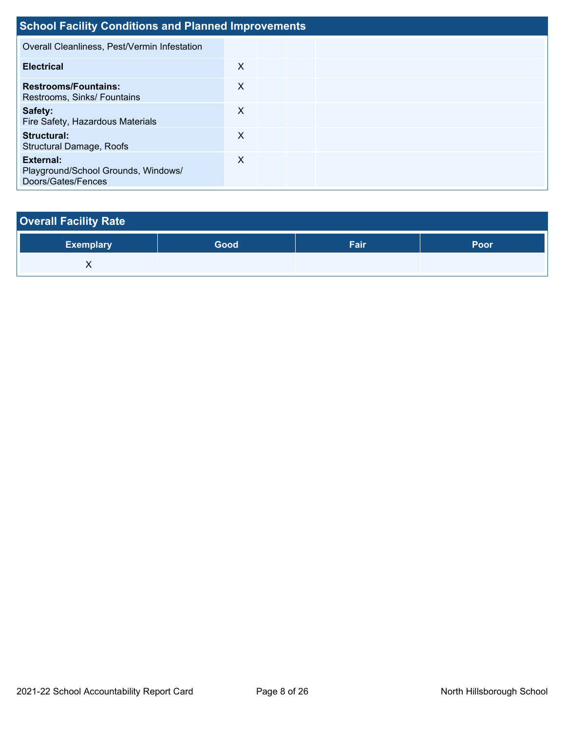| <b>School Facility Conditions and Planned Improvements</b>             |   |  |  |  |  |  |  |  |  |  |
|------------------------------------------------------------------------|---|--|--|--|--|--|--|--|--|--|
| Overall Cleanliness, Pest/Vermin Infestation                           |   |  |  |  |  |  |  |  |  |  |
| <b>Electrical</b>                                                      | X |  |  |  |  |  |  |  |  |  |
| <b>Restrooms/Fountains:</b><br>Restrooms, Sinks/ Fountains             | X |  |  |  |  |  |  |  |  |  |
| Safety:<br>Fire Safety, Hazardous Materials                            | X |  |  |  |  |  |  |  |  |  |
| Structural:<br><b>Structural Damage, Roofs</b>                         | X |  |  |  |  |  |  |  |  |  |
| External:<br>Playground/School Grounds, Windows/<br>Doors/Gates/Fences | X |  |  |  |  |  |  |  |  |  |

# **Overall Facility Rate**

| Exemplary | <b>Good</b> | Fair | Poor |
|-----------|-------------|------|------|
| ∧         |             |      |      |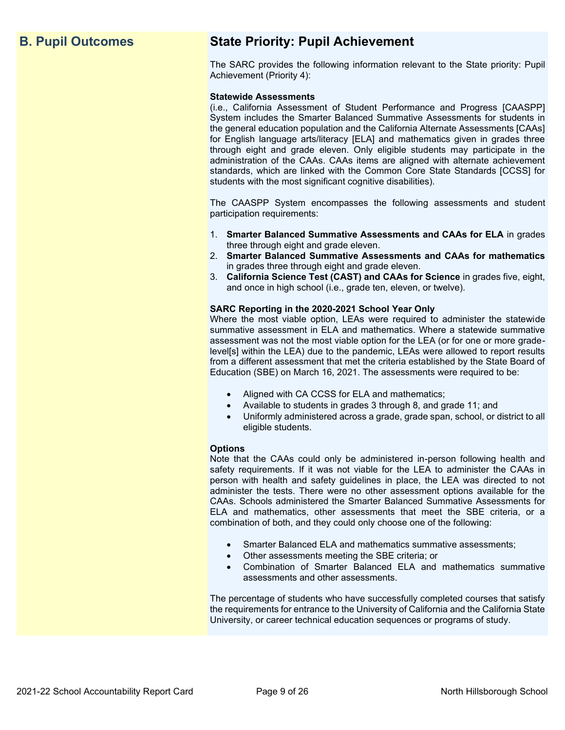# **B. Pupil Outcomes State Priority: Pupil Achievement**

The SARC provides the following information relevant to the State priority: Pupil Achievement (Priority 4):

### **Statewide Assessments**

(i.e., California Assessment of Student Performance and Progress [CAASPP] System includes the Smarter Balanced Summative Assessments for students in the general education population and the California Alternate Assessments [CAAs] for English language arts/literacy [ELA] and mathematics given in grades three through eight and grade eleven. Only eligible students may participate in the administration of the CAAs. CAAs items are aligned with alternate achievement standards, which are linked with the Common Core State Standards [CCSS] for students with the most significant cognitive disabilities).

The CAASPP System encompasses the following assessments and student participation requirements:

- 1. **Smarter Balanced Summative Assessments and CAAs for ELA** in grades three through eight and grade eleven.
- 2. **Smarter Balanced Summative Assessments and CAAs for mathematics** in grades three through eight and grade eleven.
- 3. **California Science Test (CAST) and CAAs for Science** in grades five, eight, and once in high school (i.e., grade ten, eleven, or twelve).

### **SARC Reporting in the 2020-2021 School Year Only**

Where the most viable option, LEAs were required to administer the statewide summative assessment in ELA and mathematics. Where a statewide summative assessment was not the most viable option for the LEA (or for one or more gradelevel[s] within the LEA) due to the pandemic, LEAs were allowed to report results from a different assessment that met the criteria established by the State Board of Education (SBE) on March 16, 2021. The assessments were required to be:

- Aligned with CA CCSS for ELA and mathematics;
- Available to students in grades 3 through 8, and grade 11; and
- Uniformly administered across a grade, grade span, school, or district to all eligible students.

### **Options**

Note that the CAAs could only be administered in-person following health and safety requirements. If it was not viable for the LEA to administer the CAAs in person with health and safety guidelines in place, the LEA was directed to not administer the tests. There were no other assessment options available for the CAAs. Schools administered the Smarter Balanced Summative Assessments for ELA and mathematics, other assessments that meet the SBE criteria, or a combination of both, and they could only choose one of the following:

- Smarter Balanced ELA and mathematics summative assessments;
- Other assessments meeting the SBE criteria; or
- Combination of Smarter Balanced ELA and mathematics summative assessments and other assessments.

The percentage of students who have successfully completed courses that satisfy the requirements for entrance to the University of California and the California State University, or career technical education sequences or programs of study.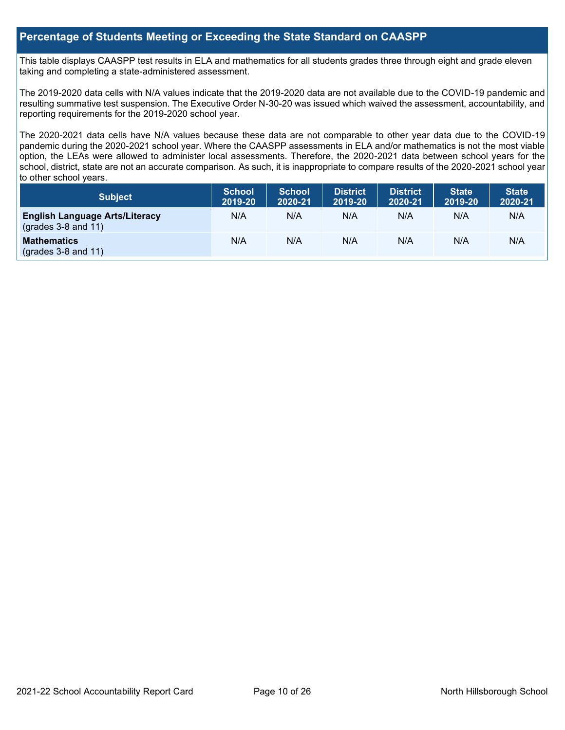### **Percentage of Students Meeting or Exceeding the State Standard on CAASPP**

This table displays CAASPP test results in ELA and mathematics for all students grades three through eight and grade eleven taking and completing a state-administered assessment.

The 2019-2020 data cells with N/A values indicate that the 2019-2020 data are not available due to the COVID-19 pandemic and resulting summative test suspension. The Executive Order N-30-20 was issued which waived the assessment, accountability, and reporting requirements for the 2019-2020 school year.

The 2020-2021 data cells have N/A values because these data are not comparable to other year data due to the COVID-19 pandemic during the 2020-2021 school year. Where the CAASPP assessments in ELA and/or mathematics is not the most viable option, the LEAs were allowed to administer local assessments. Therefore, the 2020-2021 data between school years for the school, district, state are not an accurate comparison. As such, it is inappropriate to compare results of the 2020-2021 school year to other school years.

| Subject                                                              | <b>School</b><br>2019-20 | <b>School</b><br>2020-21 | <b>District</b><br>2019-20 | <b>District</b><br>2020-21 | <b>State</b><br>2019-20 | <b>State</b><br>2020-21 |
|----------------------------------------------------------------------|--------------------------|--------------------------|----------------------------|----------------------------|-------------------------|-------------------------|
| <b>English Language Arts/Literacy</b><br>$\left($ grades 3-8 and 11) | N/A                      | N/A                      | N/A                        | N/A                        | N/A                     | N/A                     |
| <b>Mathematics</b><br>$(grades 3-8 and 11)$                          | N/A                      | N/A                      | N/A                        | N/A                        | N/A                     | N/A                     |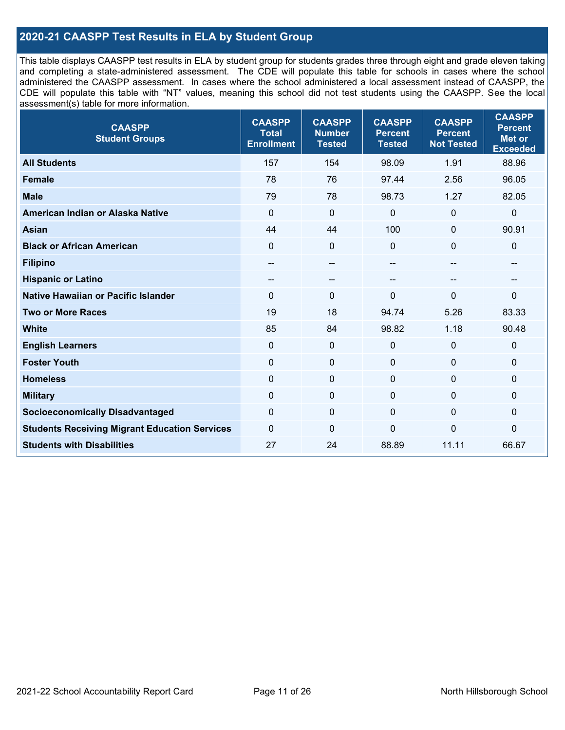# **2020-21 CAASPP Test Results in ELA by Student Group**

This table displays CAASPP test results in ELA by student group for students grades three through eight and grade eleven taking and completing a state-administered assessment. The CDE will populate this table for schools in cases where the school administered the CAASPP assessment. In cases where the school administered a local assessment instead of CAASPP, the CDE will populate this table with "NT" values, meaning this school did not test students using the CAASPP. See the local assessment(s) table for more information.

| <b>CAASPP</b><br><b>Student Groups</b>               | <b>CAASPP</b><br><b>Total</b><br><b>Enrollment</b> | <b>CAASPP</b><br><b>Number</b><br><b>Tested</b> | <b>CAASPP</b><br><b>Percent</b><br><b>Tested</b> | <b>CAASPP</b><br><b>Percent</b><br><b>Not Tested</b> | <b>CAASPP</b><br><b>Percent</b><br><b>Met or</b><br><b>Exceeded</b> |
|------------------------------------------------------|----------------------------------------------------|-------------------------------------------------|--------------------------------------------------|------------------------------------------------------|---------------------------------------------------------------------|
| <b>All Students</b>                                  | 157                                                | 154                                             | 98.09                                            | 1.91                                                 | 88.96                                                               |
| <b>Female</b>                                        | 78                                                 | 76                                              | 97.44                                            | 2.56                                                 | 96.05                                                               |
| <b>Male</b>                                          | 79                                                 | 78                                              | 98.73                                            | 1.27                                                 | 82.05                                                               |
| American Indian or Alaska Native                     | $\mathbf 0$                                        | $\mathbf 0$                                     | $\mathbf 0$                                      | $\mathbf 0$                                          | $\mathbf 0$                                                         |
| <b>Asian</b>                                         | 44                                                 | 44                                              | 100                                              | $\mathbf 0$                                          | 90.91                                                               |
| <b>Black or African American</b>                     | $\mathbf 0$                                        | $\mathbf 0$                                     | $\Omega$                                         | $\Omega$                                             | $\mathbf 0$                                                         |
| <b>Filipino</b>                                      | $- -$                                              | $\overline{\phantom{a}}$                        | --                                               | --                                                   | --                                                                  |
| <b>Hispanic or Latino</b>                            | --                                                 | $\overline{\phantom{m}}$                        | --                                               | $-$                                                  | --                                                                  |
| <b>Native Hawaiian or Pacific Islander</b>           | $\Omega$                                           | $\mathbf 0$                                     | 0                                                | $\Omega$                                             | 0                                                                   |
| <b>Two or More Races</b>                             | 19                                                 | 18                                              | 94.74                                            | 5.26                                                 | 83.33                                                               |
| <b>White</b>                                         | 85                                                 | 84                                              | 98.82                                            | 1.18                                                 | 90.48                                                               |
| <b>English Learners</b>                              | $\mathbf{0}$                                       | $\mathbf 0$                                     | $\mathbf{0}$                                     | $\mathbf{0}$                                         | $\mathbf 0$                                                         |
| <b>Foster Youth</b>                                  | $\mathbf 0$                                        | $\mathbf 0$                                     | $\mathbf{0}$                                     | $\mathbf 0$                                          | $\mathbf{0}$                                                        |
| <b>Homeless</b>                                      | $\mathbf 0$                                        | $\pmb{0}$                                       | $\mathbf 0$                                      | $\mathbf 0$                                          | $\mathbf 0$                                                         |
| <b>Military</b>                                      | $\mathbf 0$                                        | $\pmb{0}$                                       | $\mathbf{0}$                                     | 0                                                    | $\mathbf 0$                                                         |
| <b>Socioeconomically Disadvantaged</b>               | $\Omega$                                           | $\mathbf 0$                                     | $\mathbf{0}$                                     | $\Omega$                                             | 0                                                                   |
| <b>Students Receiving Migrant Education Services</b> | $\Omega$                                           | $\mathbf 0$                                     | $\Omega$                                         | 0                                                    | 0                                                                   |
| <b>Students with Disabilities</b>                    | 27                                                 | 24                                              | 88.89                                            | 11.11                                                | 66.67                                                               |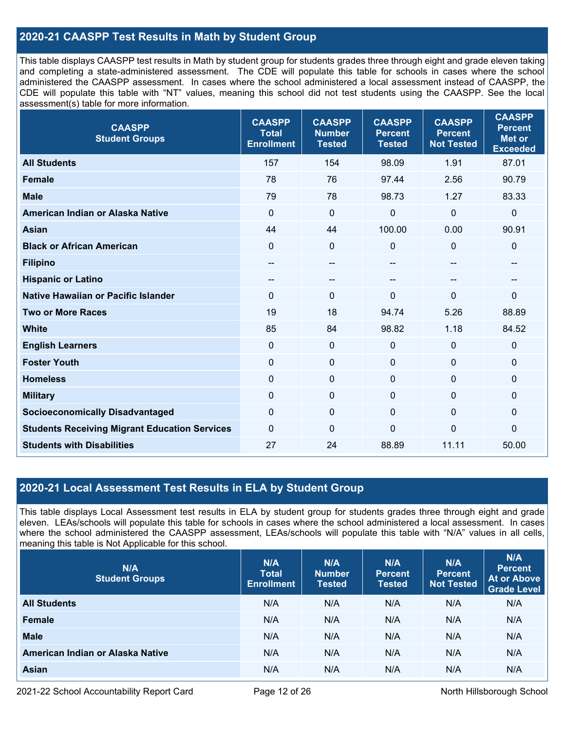# **2020-21 CAASPP Test Results in Math by Student Group**

This table displays CAASPP test results in Math by student group for students grades three through eight and grade eleven taking and completing a state-administered assessment. The CDE will populate this table for schools in cases where the school administered the CAASPP assessment. In cases where the school administered a local assessment instead of CAASPP, the CDE will populate this table with "NT" values, meaning this school did not test students using the CAASPP. See the local assessment(s) table for more information.

| <b>CAASPP</b><br><b>Student Groups</b>               | <b>CAASPP</b><br><b>Total</b><br><b>Enrollment</b> | <b>CAASPP</b><br><b>Number</b><br><b>Tested</b> | <b>CAASPP</b><br><b>Percent</b><br><b>Tested</b> | <b>CAASPP</b><br><b>Percent</b><br><b>Not Tested</b> | <b>CAASPP</b><br><b>Percent</b><br><b>Met or</b><br><b>Exceeded</b> |
|------------------------------------------------------|----------------------------------------------------|-------------------------------------------------|--------------------------------------------------|------------------------------------------------------|---------------------------------------------------------------------|
| <b>All Students</b>                                  | 157                                                | 154                                             | 98.09                                            | 1.91                                                 | 87.01                                                               |
| <b>Female</b>                                        | 78                                                 | 76                                              | 97.44                                            | 2.56                                                 | 90.79                                                               |
| <b>Male</b>                                          | 79                                                 | 78                                              | 98.73                                            | 1.27                                                 | 83.33                                                               |
| American Indian or Alaska Native                     | $\mathbf 0$                                        | $\mathbf 0$                                     | 0                                                | $\mathbf 0$                                          | $\mathbf 0$                                                         |
| <b>Asian</b>                                         | 44                                                 | 44                                              | 100.00                                           | 0.00                                                 | 90.91                                                               |
| <b>Black or African American</b>                     | $\mathbf{0}$                                       | $\mathbf 0$                                     | $\Omega$                                         | $\Omega$                                             | $\mathbf 0$                                                         |
| <b>Filipino</b>                                      | --                                                 | --                                              | --                                               | --                                                   | --                                                                  |
| <b>Hispanic or Latino</b>                            | --                                                 | --                                              | --                                               | --                                                   | $\qquad \qquad -$                                                   |
| <b>Native Hawaiian or Pacific Islander</b>           | $\mathbf{0}$                                       | $\mathbf 0$                                     | $\Omega$                                         | $\Omega$                                             | $\pmb{0}$                                                           |
| <b>Two or More Races</b>                             | 19                                                 | 18                                              | 94.74                                            | 5.26                                                 | 88.89                                                               |
| <b>White</b>                                         | 85                                                 | 84                                              | 98.82                                            | 1.18                                                 | 84.52                                                               |
| <b>English Learners</b>                              | $\mathbf{0}$                                       | $\mathbf 0$                                     | 0                                                | $\mathbf 0$                                          | $\mathbf 0$                                                         |
| <b>Foster Youth</b>                                  | $\mathbf 0$                                        | $\mathbf 0$                                     | $\Omega$                                         | $\Omega$                                             | $\mathbf 0$                                                         |
| <b>Homeless</b>                                      | $\mathbf 0$                                        | $\mathbf 0$                                     | $\mathbf 0$                                      | $\Omega$                                             | $\mathbf 0$                                                         |
| <b>Military</b>                                      | $\mathbf 0$                                        | $\pmb{0}$                                       | $\mathbf 0$                                      | 0                                                    | $\pmb{0}$                                                           |
| <b>Socioeconomically Disadvantaged</b>               | $\mathbf{0}$                                       | 0                                               | $\Omega$                                         | $\mathbf 0$                                          | $\mathbf 0$                                                         |
| <b>Students Receiving Migrant Education Services</b> | $\mathbf 0$                                        | 0                                               | 0                                                | $\mathbf 0$                                          | 0                                                                   |
| <b>Students with Disabilities</b>                    | 27                                                 | 24                                              | 88.89                                            | 11.11                                                | 50.00                                                               |

## **2020-21 Local Assessment Test Results in ELA by Student Group**

This table displays Local Assessment test results in ELA by student group for students grades three through eight and grade eleven. LEAs/schools will populate this table for schools in cases where the school administered a local assessment. In cases where the school administered the CAASPP assessment, LEAs/schools will populate this table with "N/A" values in all cells, meaning this table is Not Applicable for this school.

| N/A<br><b>Student Groups</b>     | N/A<br><b>Total</b><br><b>Enrollment</b> | N/A<br><b>Number</b><br><b>Tested</b> | N/A<br><b>Percent</b><br><b>Tested</b> | N/A<br>Percent<br><b>Not Tested</b> | N/A<br><b>Percent</b><br><b>At or Above</b><br><b>Grade Level</b> |
|----------------------------------|------------------------------------------|---------------------------------------|----------------------------------------|-------------------------------------|-------------------------------------------------------------------|
| <b>All Students</b>              | N/A                                      | N/A                                   | N/A                                    | N/A                                 | N/A                                                               |
| Female                           | N/A                                      | N/A                                   | N/A                                    | N/A                                 | N/A                                                               |
| <b>Male</b>                      | N/A                                      | N/A                                   | N/A                                    | N/A                                 | N/A                                                               |
| American Indian or Alaska Native | N/A                                      | N/A                                   | N/A                                    | N/A                                 | N/A                                                               |
| <b>Asian</b>                     | N/A                                      | N/A                                   | N/A                                    | N/A                                 | N/A                                                               |

2021-22 School Accountability Report Card **Page 12 of 26 North Hillsborough School** Page 12 of 26 North Hillsborough School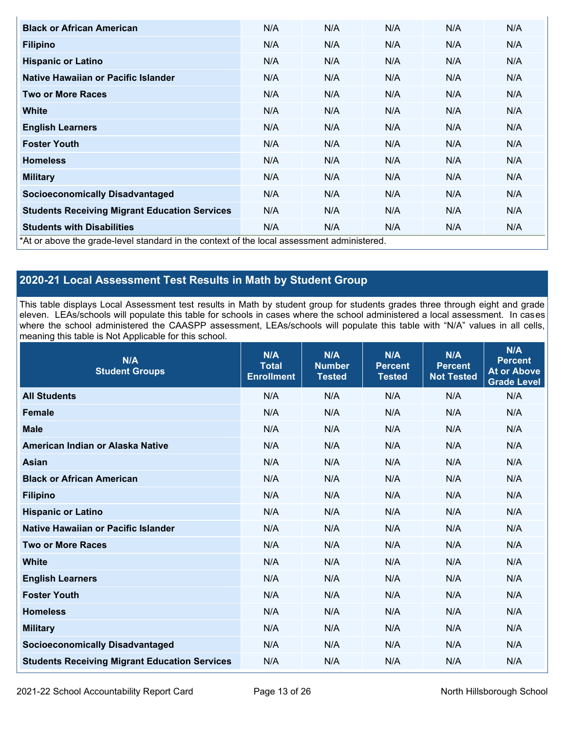| <b>Black or African American</b>                                                           | N/A | N/A | N/A | N/A | N/A |
|--------------------------------------------------------------------------------------------|-----|-----|-----|-----|-----|
| <b>Filipino</b>                                                                            | N/A | N/A | N/A | N/A | N/A |
| <b>Hispanic or Latino</b>                                                                  | N/A | N/A | N/A | N/A | N/A |
| Native Hawaiian or Pacific Islander                                                        | N/A | N/A | N/A | N/A | N/A |
| <b>Two or More Races</b>                                                                   | N/A | N/A | N/A | N/A | N/A |
| <b>White</b>                                                                               | N/A | N/A | N/A | N/A | N/A |
| <b>English Learners</b>                                                                    | N/A | N/A | N/A | N/A | N/A |
| <b>Foster Youth</b>                                                                        | N/A | N/A | N/A | N/A | N/A |
| <b>Homeless</b>                                                                            | N/A | N/A | N/A | N/A | N/A |
| <b>Military</b>                                                                            | N/A | N/A | N/A | N/A | N/A |
| <b>Socioeconomically Disadvantaged</b>                                                     | N/A | N/A | N/A | N/A | N/A |
| <b>Students Receiving Migrant Education Services</b>                                       | N/A | N/A | N/A | N/A | N/A |
| <b>Students with Disabilities</b>                                                          | N/A | N/A | N/A | N/A | N/A |
| *At or above the grade-level standard in the context of the local assessment administered. |     |     |     |     |     |

# **2020-21 Local Assessment Test Results in Math by Student Group**

This table displays Local Assessment test results in Math by student group for students grades three through eight and grade eleven. LEAs/schools will populate this table for schools in cases where the school administered a local assessment. In cases where the school administered the CAASPP assessment, LEAs/schools will populate this table with "N/A" values in all cells, meaning this table is Not Applicable for this school.

| N/A<br><b>Student Groups</b>                         | N/A<br><b>Total</b><br><b>Enrollment</b> | N/A<br><b>Number</b><br><b>Tested</b> | N/A<br><b>Percent</b><br><b>Tested</b> | N/A<br><b>Percent</b><br><b>Not Tested</b> | N/A<br><b>Percent</b><br><b>At or Above</b><br><b>Grade Level</b> |
|------------------------------------------------------|------------------------------------------|---------------------------------------|----------------------------------------|--------------------------------------------|-------------------------------------------------------------------|
| <b>All Students</b>                                  | N/A                                      | N/A                                   | N/A                                    | N/A                                        | N/A                                                               |
| <b>Female</b>                                        | N/A                                      | N/A                                   | N/A                                    | N/A                                        | N/A                                                               |
| <b>Male</b>                                          | N/A                                      | N/A                                   | N/A                                    | N/A                                        | N/A                                                               |
| American Indian or Alaska Native                     | N/A                                      | N/A                                   | N/A                                    | N/A                                        | N/A                                                               |
| <b>Asian</b>                                         | N/A                                      | N/A                                   | N/A                                    | N/A                                        | N/A                                                               |
| <b>Black or African American</b>                     | N/A                                      | N/A                                   | N/A                                    | N/A                                        | N/A                                                               |
| <b>Filipino</b>                                      | N/A                                      | N/A                                   | N/A                                    | N/A                                        | N/A                                                               |
| <b>Hispanic or Latino</b>                            | N/A                                      | N/A                                   | N/A                                    | N/A                                        | N/A                                                               |
| Native Hawaiian or Pacific Islander                  | N/A                                      | N/A                                   | N/A                                    | N/A                                        | N/A                                                               |
| <b>Two or More Races</b>                             | N/A                                      | N/A                                   | N/A                                    | N/A                                        | N/A                                                               |
| <b>White</b>                                         | N/A                                      | N/A                                   | N/A                                    | N/A                                        | N/A                                                               |
| <b>English Learners</b>                              | N/A                                      | N/A                                   | N/A                                    | N/A                                        | N/A                                                               |
| <b>Foster Youth</b>                                  | N/A                                      | N/A                                   | N/A                                    | N/A                                        | N/A                                                               |
| <b>Homeless</b>                                      | N/A                                      | N/A                                   | N/A                                    | N/A                                        | N/A                                                               |
| <b>Military</b>                                      | N/A                                      | N/A                                   | N/A                                    | N/A                                        | N/A                                                               |
| <b>Socioeconomically Disadvantaged</b>               | N/A                                      | N/A                                   | N/A                                    | N/A                                        | N/A                                                               |
| <b>Students Receiving Migrant Education Services</b> | N/A                                      | N/A                                   | N/A                                    | N/A                                        | N/A                                                               |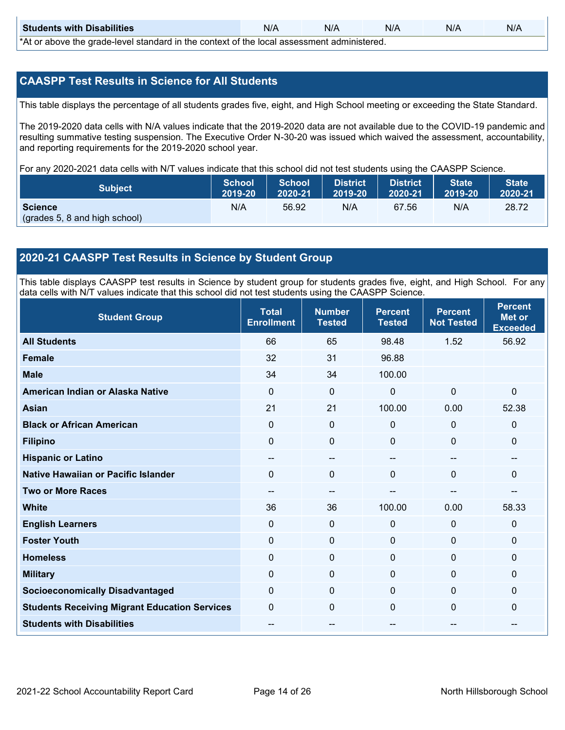| <b>Students with Disabilities</b>                                                           | N/A | N/A | N/A | N/A | N/A |  |  |
|---------------------------------------------------------------------------------------------|-----|-----|-----|-----|-----|--|--|
| *At as above the escale level standard in the context of the local accordinate admissioned. |     |     |     |     |     |  |  |

\*At or above the grade-level standard in the context of the local assessment administered.

### **CAASPP Test Results in Science for All Students**

This table displays the percentage of all students grades five, eight, and High School meeting or exceeding the State Standard.

The 2019-2020 data cells with N/A values indicate that the 2019-2020 data are not available due to the COVID-19 pandemic and resulting summative testing suspension. The Executive Order N-30-20 was issued which waived the assessment, accountability, and reporting requirements for the 2019-2020 school year.

For any 2020-2021 data cells with N/T values indicate that this school did not test students using the CAASPP Science.

| <b>Subject</b>                           | <b>School</b> | <b>School</b> | District | <b>District</b> | <b>State</b> | <b>State</b> |
|------------------------------------------|---------------|---------------|----------|-----------------|--------------|--------------|
|                                          | 2019-20       | 2020-21       | 2019-20  | 2020-21         | 2019-20      | 2020-21      |
| Science<br>(grades 5, 8 and high school) | N/A           | 56.92         | N/A      | 67.56           | N/A          | 28.72        |

## **2020-21 CAASPP Test Results in Science by Student Group**

This table displays CAASPP test results in Science by student group for students grades five, eight, and High School. For any data cells with N/T values indicate that this school did not test students using the CAASPP Science.

| <b>Student Group</b>                                 | <b>Total</b><br><b>Enrollment</b> | <b>Number</b><br><b>Tested</b> | <b>Percent</b><br><b>Tested</b> | <b>Percent</b><br><b>Not Tested</b> | <b>Percent</b><br><b>Met or</b><br><b>Exceeded</b> |
|------------------------------------------------------|-----------------------------------|--------------------------------|---------------------------------|-------------------------------------|----------------------------------------------------|
| <b>All Students</b>                                  | 66                                | 65                             | 98.48                           | 1.52                                | 56.92                                              |
| <b>Female</b>                                        | 32                                | 31                             | 96.88                           |                                     |                                                    |
| <b>Male</b>                                          | 34                                | 34                             | 100.00                          |                                     |                                                    |
| American Indian or Alaska Native                     | 0                                 | 0                              | $\mathbf 0$                     | $\Omega$                            | $\mathbf 0$                                        |
| <b>Asian</b>                                         | 21                                | 21                             | 100.00                          | 0.00                                | 52.38                                              |
| <b>Black or African American</b>                     | 0                                 | $\pmb{0}$                      | $\mathbf 0$                     | $\Omega$                            | $\mathbf 0$                                        |
| <b>Filipino</b>                                      | $\Omega$                          | $\mathbf 0$                    | 0                               | $\Omega$                            | $\mathbf 0$                                        |
| <b>Hispanic or Latino</b>                            | $\sim$                            | $\qquad \qquad -$              | $\overline{\phantom{a}}$        | $\hspace{0.05cm}$                   | --                                                 |
| Native Hawaiian or Pacific Islander                  | $\Omega$                          | $\mathbf 0$                    | $\Omega$                        | $\mathbf 0$                         | $\mathbf{0}$                                       |
| <b>Two or More Races</b>                             | --                                | --                             |                                 | --                                  |                                                    |
| <b>White</b>                                         | 36                                | 36                             | 100.00                          | 0.00                                | 58.33                                              |
| <b>English Learners</b>                              | $\Omega$                          | $\mathbf 0$                    | $\mathbf 0$                     | 0                                   | $\mathbf 0$                                        |
| <b>Foster Youth</b>                                  | 0                                 | $\pmb{0}$                      | $\mathbf 0$                     | $\mathbf 0$                         | $\mathbf 0$                                        |
| <b>Homeless</b>                                      | 0                                 | $\mathbf 0$                    | $\mathbf 0$                     | $\Omega$                            | $\mathbf 0$                                        |
| <b>Military</b>                                      | 0                                 | 0                              | 0                               | $\Omega$                            | $\mathbf 0$                                        |
| <b>Socioeconomically Disadvantaged</b>               | $\Omega$                          | $\mathbf 0$                    | $\Omega$                        | $\Omega$                            | $\mathbf{0}$                                       |
| <b>Students Receiving Migrant Education Services</b> | 0                                 | $\mathbf 0$                    | $\Omega$                        | $\Omega$                            | $\mathbf{0}$                                       |
| <b>Students with Disabilities</b>                    | --                                | --                             |                                 | --                                  | --                                                 |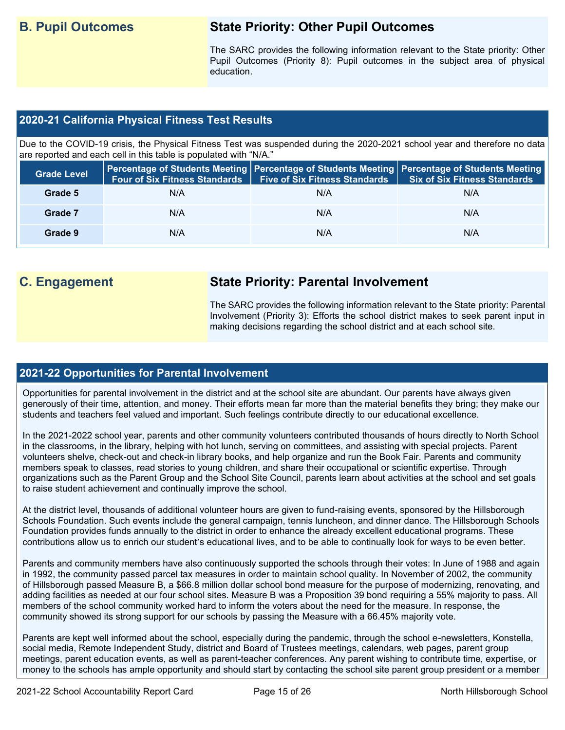# **B. Pupil Outcomes State Priority: Other Pupil Outcomes**

The SARC provides the following information relevant to the State priority: Other Pupil Outcomes (Priority 8): Pupil outcomes in the subject area of physical education.

## **2020-21 California Physical Fitness Test Results**

Due to the COVID-19 crisis, the Physical Fitness Test was suspended during the 2020-2021 school year and therefore no data are reported and each cell in this table is populated with "N/A."

| <b>Grade Level</b> | <b>Four of Six Fitness Standards</b> | <b>Five of Six Fitness Standards</b> | Percentage of Students Meeting   Percentage of Students Meeting   Percentage of Students Meeting  <br><b>Six of Six Fitness Standards</b> |
|--------------------|--------------------------------------|--------------------------------------|-------------------------------------------------------------------------------------------------------------------------------------------|
| Grade 5            | N/A                                  | N/A                                  | N/A                                                                                                                                       |
| Grade 7            | N/A                                  | N/A                                  | N/A                                                                                                                                       |
| Grade 9            | N/A                                  | N/A                                  | N/A                                                                                                                                       |

# **C. Engagement State Priority: Parental Involvement**

The SARC provides the following information relevant to the State priority: Parental Involvement (Priority 3): Efforts the school district makes to seek parent input in making decisions regarding the school district and at each school site.

### **2021-22 Opportunities for Parental Involvement**

Opportunities for parental involvement in the district and at the school site are abundant. Our parents have always given generously of their time, attention, and money. Their efforts mean far more than the material benefits they bring; they make our students and teachers feel valued and important. Such feelings contribute directly to our educational excellence.

In the 2021-2022 school year, parents and other community volunteers contributed thousands of hours directly to North School in the classrooms, in the library, helping with hot lunch, serving on committees, and assisting with special projects. Parent volunteers shelve, check-out and check-in library books, and help organize and run the Book Fair. Parents and community members speak to classes, read stories to young children, and share their occupational or scientific expertise. Through organizations such as the Parent Group and the School Site Council, parents learn about activities at the school and set goals to raise student achievement and continually improve the school.

At the district level, thousands of additional volunteer hours are given to fund-raising events, sponsored by the Hillsborough Schools Foundation. Such events include the general campaign, tennis luncheon, and dinner dance. The Hillsborough Schools Foundation provides funds annually to the district in order to enhance the already excellent educational programs. These contributions allow us to enrich our student's educational lives, and to be able to continually look for ways to be even better.

Parents and community members have also continuously supported the schools through their votes: In June of 1988 and again in 1992, the community passed parcel tax measures in order to maintain school quality. In November of 2002, the community of Hillsborough passed Measure B, a \$66.8 million dollar school bond measure for the purpose of modernizing, renovating, and adding facilities as needed at our four school sites. Measure B was a Proposition 39 bond requiring a 55% majority to pass. All members of the school community worked hard to inform the voters about the need for the measure. In response, the community showed its strong support for our schools by passing the Measure with a 66.45% majority vote.

Parents are kept well informed about the school, especially during the pandemic, through the school e-newsletters, Konstella, social media, Remote Independent Study, district and Board of Trustees meetings, calendars, web pages, parent group meetings, parent education events, as well as parent-teacher conferences. Any parent wishing to contribute time, expertise, or money to the schools has ample opportunity and should start by contacting the school site parent group president or a member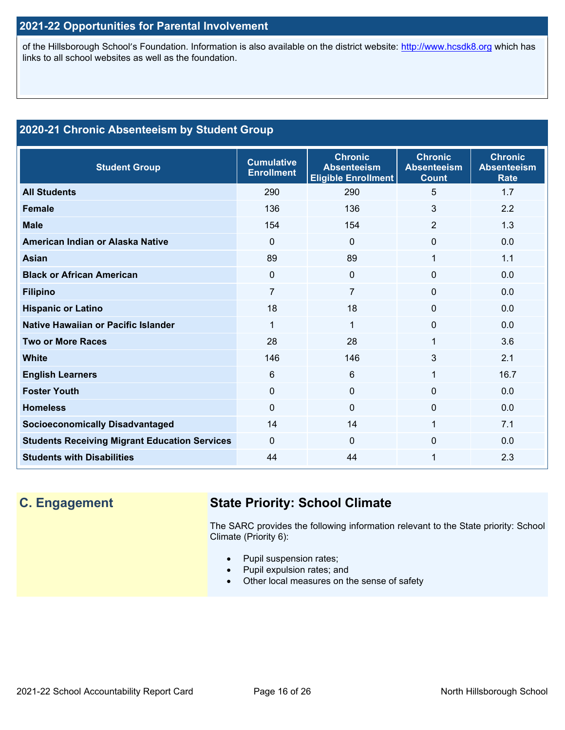# **2021-22 Opportunities for Parental Involvement**

of the Hillsborough School's Foundation. Information is also available on the district website: [http://www.hcsdk8.org](http://www.hcsdk8.org/) which has links to all school websites as well as the foundation.

# **2020-21 Chronic Absenteeism by Student Group**

| <b>Student Group</b>                                 | <b>Cumulative</b><br><b>Enrollment</b> | <b>Chronic</b><br><b>Absenteeism</b><br><b>Eligible Enrollment</b> | <b>Chronic</b><br><b>Absenteeism</b><br><b>Count</b> | <b>Chronic</b><br><b>Absenteeism</b><br><b>Rate</b> |
|------------------------------------------------------|----------------------------------------|--------------------------------------------------------------------|------------------------------------------------------|-----------------------------------------------------|
| <b>All Students</b>                                  | 290                                    | 290                                                                | 5                                                    | 1.7                                                 |
| <b>Female</b>                                        | 136                                    | 136                                                                | 3                                                    | 2.2                                                 |
| <b>Male</b>                                          | 154                                    | 154                                                                | $\overline{2}$                                       | 1.3                                                 |
| American Indian or Alaska Native                     | $\Omega$                               | $\mathbf{0}$                                                       | $\Omega$                                             | 0.0                                                 |
| Asian                                                | 89                                     | 89                                                                 | 1                                                    | 1.1                                                 |
| <b>Black or African American</b>                     | $\Omega$                               | 0                                                                  | $\Omega$                                             | 0.0                                                 |
| <b>Filipino</b>                                      | 7                                      | 7                                                                  | 0                                                    | 0.0                                                 |
| <b>Hispanic or Latino</b>                            | 18                                     | 18                                                                 | $\Omega$                                             | 0.0                                                 |
| Native Hawaiian or Pacific Islander                  | 1                                      | $\mathbf{1}$                                                       | 0                                                    | 0.0                                                 |
| <b>Two or More Races</b>                             | 28                                     | 28                                                                 | 1                                                    | 3.6                                                 |
| <b>White</b>                                         | 146                                    | 146                                                                | 3                                                    | 2.1                                                 |
| <b>English Learners</b>                              | 6                                      | 6                                                                  | 1                                                    | 16.7                                                |
| <b>Foster Youth</b>                                  | $\Omega$                               | $\Omega$                                                           | $\Omega$                                             | 0.0                                                 |
| <b>Homeless</b>                                      | $\Omega$                               | $\mathbf{0}$                                                       | $\Omega$                                             | 0.0                                                 |
| <b>Socioeconomically Disadvantaged</b>               | 14                                     | 14                                                                 | 1                                                    | 7.1                                                 |
| <b>Students Receiving Migrant Education Services</b> | $\Omega$                               | $\Omega$                                                           | $\Omega$                                             | 0.0                                                 |
| <b>Students with Disabilities</b>                    | 44                                     | 44                                                                 | 1                                                    | 2.3                                                 |

# **C. Engagement State Priority: School Climate**

The SARC provides the following information relevant to the State priority: School Climate (Priority 6):

- Pupil suspension rates;
- Pupil expulsion rates; and
- Other local measures on the sense of safety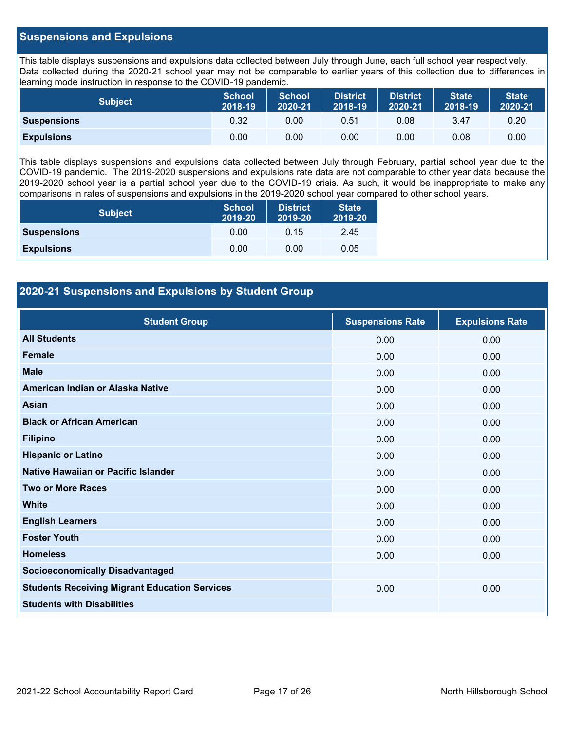### **Suspensions and Expulsions**

This table displays suspensions and expulsions data collected between July through June, each full school year respectively. Data collected during the 2020-21 school year may not be comparable to earlier years of this collection due to differences in learning mode instruction in response to the COVID-19 pandemic.

| <b>Subject</b>     | <b>School</b><br>2018-19 | <b>School</b><br>2020-21 | <b>District</b><br>2018-19 | <b>District</b><br>2020-21 | <b>State</b><br>2018-19 | <b>State</b><br>2020-21 |
|--------------------|--------------------------|--------------------------|----------------------------|----------------------------|-------------------------|-------------------------|
| <b>Suspensions</b> | 0.32                     | 0.00                     | 0.51                       | 0.08                       | 3.47                    | 0.20                    |
| <b>Expulsions</b>  | 0.00                     | 0.00                     | 0.00                       | 0.00                       | 0.08                    | 0.00                    |

This table displays suspensions and expulsions data collected between July through February, partial school year due to the COVID-19 pandemic. The 2019-2020 suspensions and expulsions rate data are not comparable to other year data because the 2019-2020 school year is a partial school year due to the COVID-19 crisis. As such, it would be inappropriate to make any comparisons in rates of suspensions and expulsions in the 2019-2020 school year compared to other school years.

| <b>Subject</b>     | School<br>2019-20 | <b>District</b><br>2019-20 | <b>State</b><br>2019-20 |
|--------------------|-------------------|----------------------------|-------------------------|
| <b>Suspensions</b> | 0.00              | 0.15                       | 2.45                    |
| <b>Expulsions</b>  | 0.00              | 0.00                       | 0.05                    |

## **2020-21 Suspensions and Expulsions by Student Group**

| <b>Student Group</b>                                 | <b>Suspensions Rate</b> | <b>Expulsions Rate</b> |
|------------------------------------------------------|-------------------------|------------------------|
| <b>All Students</b>                                  | 0.00                    | 0.00                   |
| <b>Female</b>                                        | 0.00                    | 0.00                   |
| <b>Male</b>                                          | 0.00                    | 0.00                   |
| American Indian or Alaska Native                     | 0.00                    | 0.00                   |
| <b>Asian</b>                                         | 0.00                    | 0.00                   |
| <b>Black or African American</b>                     | 0.00                    | 0.00                   |
| <b>Filipino</b>                                      | 0.00                    | 0.00                   |
| <b>Hispanic or Latino</b>                            | 0.00                    | 0.00                   |
| Native Hawaiian or Pacific Islander                  | 0.00                    | 0.00                   |
| <b>Two or More Races</b>                             | 0.00                    | 0.00                   |
| <b>White</b>                                         | 0.00                    | 0.00                   |
| <b>English Learners</b>                              | 0.00                    | 0.00                   |
| <b>Foster Youth</b>                                  | 0.00                    | 0.00                   |
| <b>Homeless</b>                                      | 0.00                    | 0.00                   |
| <b>Socioeconomically Disadvantaged</b>               |                         |                        |
| <b>Students Receiving Migrant Education Services</b> | 0.00                    | 0.00                   |
| <b>Students with Disabilities</b>                    |                         |                        |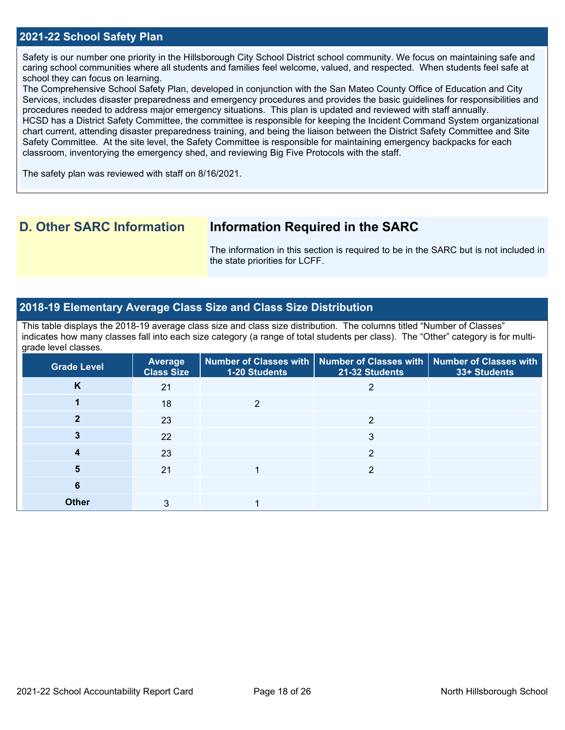### **2021-22 School Safety Plan**

Safety is our number one priority in the Hillsborough City School District school community. We focus on maintaining safe and caring school communities where all students and families feel welcome, valued, and respected. When students feel safe at school they can focus on learning.

The Comprehensive School Safety Plan, developed in conjunction with the San Mateo County Office of Education and City Services, includes disaster preparedness and emergency procedures and provides the basic guidelines for responsibilities and procedures needed to address major emergency situations. This plan is updated and reviewed with staff annually. HCSD has a District Safety Committee, the committee is responsible for keeping the Incident Command System organizational chart current, attending disaster preparedness training, and being the liaison between the District Safety Committee and Site Safety Committee. At the site level, the Safety Committee is responsible for maintaining emergency backpacks for each classroom, inventorying the emergency shed, and reviewing Big Five Protocols with the staff.

The safety plan was reviewed with staff on 8/16/2021.

# **D. Other SARC Information Information Required in the SARC**

The information in this section is required to be in the SARC but is not included in the state priorities for LCFF.

### **2018-19 Elementary Average Class Size and Class Size Distribution**

This table displays the 2018-19 average class size and class size distribution. The columns titled "Number of Classes" indicates how many classes fall into each size category (a range of total students per class). The "Other" category is for multigrade level classes.

| <b>Grade Level</b> | Average<br><b>Class Size</b> | 1-20 Students | Number of Classes with   Number of Classes with  <br>21-32 Students | <b>Number of Classes with</b><br>33+ Students |
|--------------------|------------------------------|---------------|---------------------------------------------------------------------|-----------------------------------------------|
| K                  | 21                           |               |                                                                     |                                               |
|                    | 18                           | っ             |                                                                     |                                               |
|                    | 23                           |               | C                                                                   |                                               |
|                    | 22                           |               | 3                                                                   |                                               |
|                    | 23                           |               | 2                                                                   |                                               |
| 5                  | 21                           |               | 2                                                                   |                                               |
| 6                  |                              |               |                                                                     |                                               |
| <b>Other</b>       | 3                            |               |                                                                     |                                               |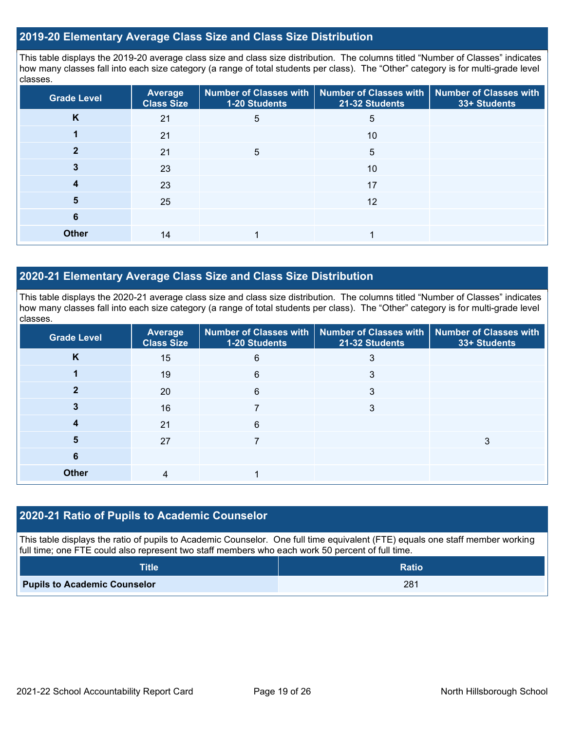### **2019-20 Elementary Average Class Size and Class Size Distribution**

This table displays the 2019-20 average class size and class size distribution. The columns titled "Number of Classes" indicates how many classes fall into each size category (a range of total students per class). The "Other" category is for multi-grade level classes.

| <b>Grade Level</b> | <b>Average</b><br><b>Class Size</b> | Number of Classes with<br>1-20 Students | <b>Number of Classes with</b><br>21-32 Students | <b>Number of Classes with</b><br>33+ Students |
|--------------------|-------------------------------------|-----------------------------------------|-------------------------------------------------|-----------------------------------------------|
| K                  | 21                                  | 5                                       | 5                                               |                                               |
|                    | 21                                  |                                         | 10                                              |                                               |
|                    | 21                                  | 5                                       | 5                                               |                                               |
| 3                  | 23                                  |                                         | 10                                              |                                               |
| 4                  | 23                                  |                                         | 17                                              |                                               |
| 5                  | 25                                  |                                         | 12                                              |                                               |
| 6                  |                                     |                                         |                                                 |                                               |
| <b>Other</b>       | 14                                  |                                         |                                                 |                                               |

## **2020-21 Elementary Average Class Size and Class Size Distribution**

This table displays the 2020-21 average class size and class size distribution. The columns titled "Number of Classes" indicates how many classes fall into each size category (a range of total students per class). The "Other" category is for multi-grade level classes.

| <b>Grade Level</b> | <b>Average</b><br><b>Class Size</b> | <b>1-20 Students</b> | Number of Classes with   Number of Classes with<br>21-32 Students | Number of Classes with<br>33+ Students |
|--------------------|-------------------------------------|----------------------|-------------------------------------------------------------------|----------------------------------------|
| K                  | 15                                  | 6                    |                                                                   |                                        |
|                    | 19                                  | 6                    | 3                                                                 |                                        |
| າ                  | 20                                  | 6                    | 3                                                                 |                                        |
|                    | 16                                  |                      | 3                                                                 |                                        |
|                    | 21                                  | 6                    |                                                                   |                                        |
| 5                  | 27                                  |                      |                                                                   |                                        |
| 6                  |                                     |                      |                                                                   |                                        |
| <b>Other</b>       | 4                                   |                      |                                                                   |                                        |

### **2020-21 Ratio of Pupils to Academic Counselor**

This table displays the ratio of pupils to Academic Counselor. One full time equivalent (FTE) equals one staff member working full time; one FTE could also represent two staff members who each work 50 percent of full time.

| <b>Title</b>                        | <b>Ratio</b> |
|-------------------------------------|--------------|
| <b>Pupils to Academic Counselor</b> | 281          |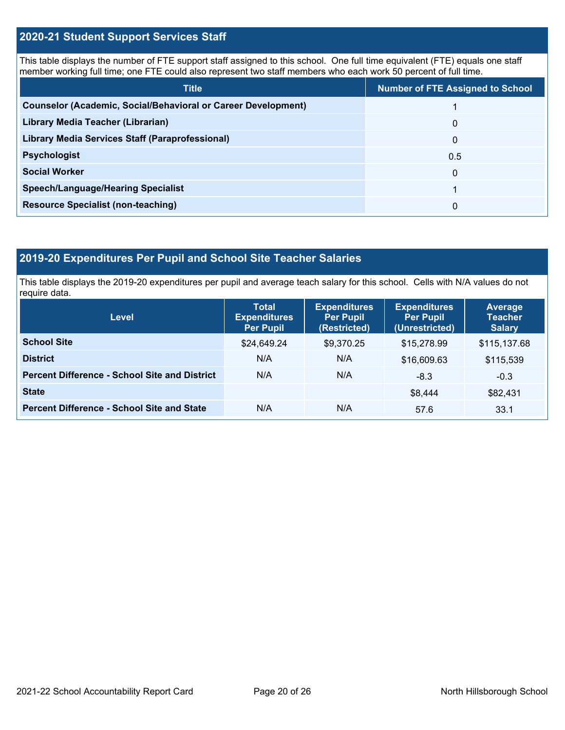### **2020-21 Student Support Services Staff**

This table displays the number of FTE support staff assigned to this school. One full time equivalent (FTE) equals one staff member working full time; one FTE could also represent two staff members who each work 50 percent of full time.

| <b>Title</b>                                                         | <b>Number of FTE Assigned to School</b> |
|----------------------------------------------------------------------|-----------------------------------------|
| <b>Counselor (Academic, Social/Behavioral or Career Development)</b> |                                         |
| Library Media Teacher (Librarian)                                    | 0                                       |
| <b>Library Media Services Staff (Paraprofessional)</b>               | $\Omega$                                |
| <b>Psychologist</b>                                                  | 0.5                                     |
| <b>Social Worker</b>                                                 | $\Omega$                                |
| <b>Speech/Language/Hearing Specialist</b>                            |                                         |
| <b>Resource Specialist (non-teaching)</b>                            | $\Omega$                                |

## **2019-20 Expenditures Per Pupil and School Site Teacher Salaries**

This table displays the 2019-20 expenditures per pupil and average teach salary for this school. Cells with N/A values do not require data.

| <b>Level</b>                                         | <b>Total</b><br><b>Expenditures</b><br><b>Per Pupil</b> | <b>Expenditures</b><br><b>Per Pupil</b><br>(Restricted) | <b>Expenditures</b><br><b>Per Pupil</b><br>(Unrestricted) | <b>Average</b><br><b>Teacher</b><br><b>Salary</b> |
|------------------------------------------------------|---------------------------------------------------------|---------------------------------------------------------|-----------------------------------------------------------|---------------------------------------------------|
| <b>School Site</b>                                   | \$24,649.24                                             | \$9,370.25                                              | \$15,278.99                                               | \$115,137.68                                      |
| <b>District</b>                                      | N/A                                                     | N/A                                                     | \$16,609.63                                               | \$115,539                                         |
| <b>Percent Difference - School Site and District</b> | N/A                                                     | N/A                                                     | $-8.3$                                                    | $-0.3$                                            |
| <b>State</b>                                         |                                                         |                                                         | \$8,444                                                   | \$82,431                                          |
| <b>Percent Difference - School Site and State</b>    | N/A                                                     | N/A                                                     | 57.6                                                      | 33.1                                              |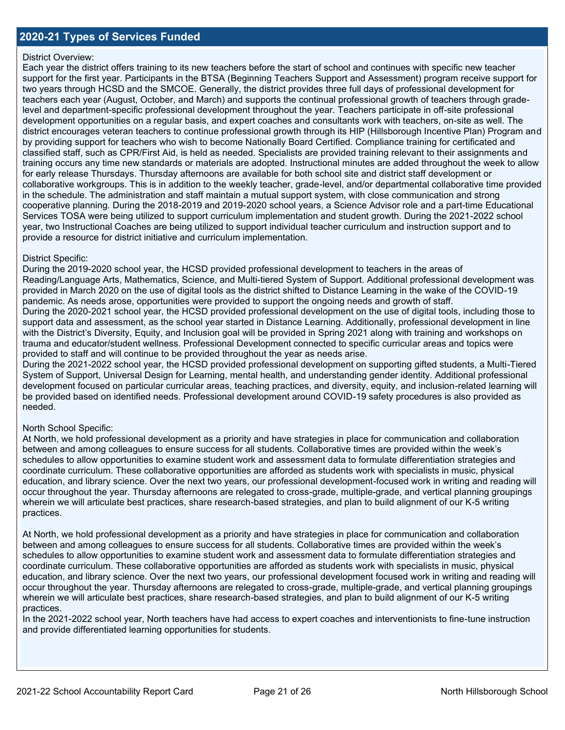## **2020-21 Types of Services Funded**

### District Overview:

Each year the district offers training to its new teachers before the start of school and continues with specific new teacher support for the first year. Participants in the BTSA (Beginning Teachers Support and Assessment) program receive support for two years through HCSD and the SMCOE. Generally, the district provides three full days of professional development for teachers each year (August, October, and March) and supports the continual professional growth of teachers through gradelevel and department-specific professional development throughout the year. Teachers participate in off-site professional development opportunities on a regular basis, and expert coaches and consultants work with teachers, on-site as well. The district encourages veteran teachers to continue professional growth through its HIP (Hillsborough Incentive Plan) Program and by providing support for teachers who wish to become Nationally Board Certified. Compliance training for certificated and classified staff, such as CPR/First Aid, is held as needed. Specialists are provided training relevant to their assignments and training occurs any time new standards or materials are adopted. Instructional minutes are added throughout the week to allow for early release Thursdays. Thursday afternoons are available for both school site and district staff development or collaborative workgroups. This is in addition to the weekly teacher, grade-level, and/or departmental collaborative time provided in the schedule. The administration and staff maintain a mutual support system, with close communication and strong cooperative planning. During the 2018-2019 and 2019-2020 school years, a Science Advisor role and a part-time Educational Services TOSA were being utilized to support curriculum implementation and student growth. During the 2021-2022 school year, two Instructional Coaches are being utilized to support individual teacher curriculum and instruction support and to provide a resource for district initiative and curriculum implementation.

### District Specific:

During the 2019-2020 school year, the HCSD provided professional development to teachers in the areas of Reading/Language Arts, Mathematics, Science, and Multi-tiered System of Support. Additional professional development was provided in March 2020 on the use of digital tools as the district shifted to Distance Learning in the wake of the COVID-19 pandemic. As needs arose, opportunities were provided to support the ongoing needs and growth of staff. During the 2020-2021 school year, the HCSD provided professional development on the use of digital tools, including those to support data and assessment, as the school year started in Distance Learning. Additionally, professional development in line with the District's Diversity, Equity, and Inclusion goal will be provided in Spring 2021 along with training and workshops on trauma and educator/student wellness. Professional Development connected to specific curricular areas and topics were provided to staff and will continue to be provided throughout the year as needs arise.

During the 2021-2022 school year, the HCSD provided professional development on supporting gifted students, a Multi-Tiered System of Support, Universal Design for Learning, mental health, and understanding gender identity. Additional professional development focused on particular curricular areas, teaching practices, and diversity, equity, and inclusion-related learning will be provided based on identified needs. Professional development around COVID-19 safety procedures is also provided as needed.

### North School Specific:

At North, we hold professional development as a priority and have strategies in place for communication and collaboration between and among colleagues to ensure success for all students. Collaborative times are provided within the week's schedules to allow opportunities to examine student work and assessment data to formulate differentiation strategies and coordinate curriculum. These collaborative opportunities are afforded as students work with specialists in music, physical education, and library science. Over the next two years, our professional development-focused work in writing and reading will occur throughout the year. Thursday afternoons are relegated to cross-grade, multiple-grade, and vertical planning groupings wherein we will articulate best practices, share research-based strategies, and plan to build alignment of our K-5 writing practices.

At North, we hold professional development as a priority and have strategies in place for communication and collaboration between and among colleagues to ensure success for all students. Collaborative times are provided within the week's schedules to allow opportunities to examine student work and assessment data to formulate differentiation strategies and coordinate curriculum. These collaborative opportunities are afforded as students work with specialists in music, physical education, and library science. Over the next two years, our professional development focused work in writing and reading will occur throughout the year. Thursday afternoons are relegated to cross-grade, multiple-grade, and vertical planning groupings wherein we will articulate best practices, share research-based strategies, and plan to build alignment of our K-5 writing practices.

In the 2021-2022 school year, North teachers have had access to expert coaches and interventionists to fine-tune instruction and provide differentiated learning opportunities for students.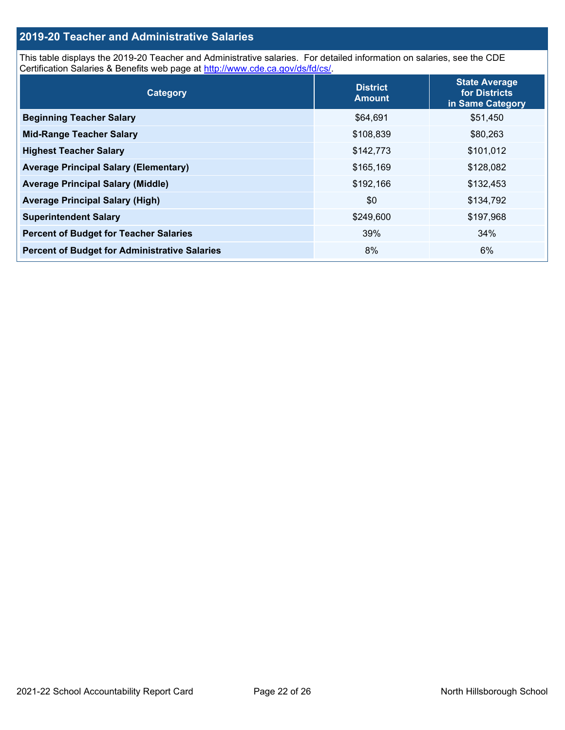# **2019-20 Teacher and Administrative Salaries**

This table displays the 2019-20 Teacher and Administrative salaries. For detailed information on salaries, see the CDE Certification Salaries & Benefits web page at [http://www.cde.ca.gov/ds/fd/cs/.](http://www.cde.ca.gov/ds/fd/cs/)

| Category                                             | <b>District</b><br><b>Amount</b> | <b>State Average</b><br>for Districts<br>in Same Category |
|------------------------------------------------------|----------------------------------|-----------------------------------------------------------|
| <b>Beginning Teacher Salary</b>                      | \$64,691                         | \$51,450                                                  |
| <b>Mid-Range Teacher Salary</b>                      | \$108,839                        | \$80,263                                                  |
| <b>Highest Teacher Salary</b>                        | \$142,773                        | \$101,012                                                 |
| <b>Average Principal Salary (Elementary)</b>         | \$165,169                        | \$128,082                                                 |
| <b>Average Principal Salary (Middle)</b>             | \$192,166                        | \$132,453                                                 |
| <b>Average Principal Salary (High)</b>               | \$0                              | \$134,792                                                 |
| <b>Superintendent Salary</b>                         | \$249,600                        | \$197,968                                                 |
| <b>Percent of Budget for Teacher Salaries</b>        | 39%                              | 34%                                                       |
| <b>Percent of Budget for Administrative Salaries</b> | 8%                               | 6%                                                        |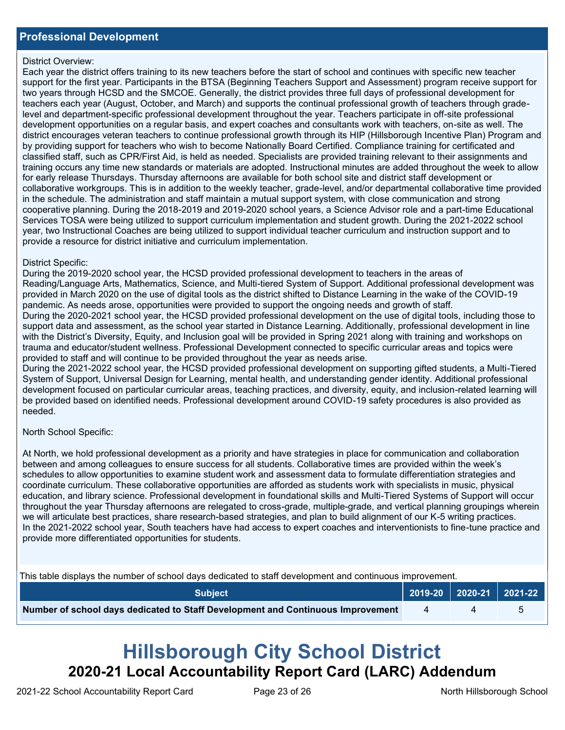### District Overview:

Each year the district offers training to its new teachers before the start of school and continues with specific new teacher support for the first year. Participants in the BTSA (Beginning Teachers Support and Assessment) program receive support for two years through HCSD and the SMCOE. Generally, the district provides three full days of professional development for teachers each year (August, October, and March) and supports the continual professional growth of teachers through gradelevel and department-specific professional development throughout the year. Teachers participate in off-site professional development opportunities on a regular basis, and expert coaches and consultants work with teachers, on-site as well. The district encourages veteran teachers to continue professional growth through its HIP (Hillsborough Incentive Plan) Program and by providing support for teachers who wish to become Nationally Board Certified. Compliance training for certificated and classified staff, such as CPR/First Aid, is held as needed. Specialists are provided training relevant to their assignments and training occurs any time new standards or materials are adopted. Instructional minutes are added throughout the week to allow for early release Thursdays. Thursday afternoons are available for both school site and district staff development or collaborative workgroups. This is in addition to the weekly teacher, grade-level, and/or departmental collaborative time provided in the schedule. The administration and staff maintain a mutual support system, with close communication and strong cooperative planning. During the 2018-2019 and 2019-2020 school years, a Science Advisor role and a part-time Educational Services TOSA were being utilized to support curriculum implementation and student growth. During the 2021-2022 school year, two Instructional Coaches are being utilized to support individual teacher curriculum and instruction support and to provide a resource for district initiative and curriculum implementation.

### District Specific:

During the 2019-2020 school year, the HCSD provided professional development to teachers in the areas of Reading/Language Arts, Mathematics, Science, and Multi-tiered System of Support. Additional professional development was provided in March 2020 on the use of digital tools as the district shifted to Distance Learning in the wake of the COVID-19 pandemic. As needs arose, opportunities were provided to support the ongoing needs and growth of staff. During the 2020-2021 school year, the HCSD provided professional development on the use of digital tools, including those to support data and assessment, as the school year started in Distance Learning. Additionally, professional development in line with the District's Diversity, Equity, and Inclusion goal will be provided in Spring 2021 along with training and workshops on trauma and educator/student wellness. Professional Development connected to specific curricular areas and topics were provided to staff and will continue to be provided throughout the year as needs arise.

During the 2021-2022 school year, the HCSD provided professional development on supporting gifted students, a Multi-Tiered System of Support, Universal Design for Learning, mental health, and understanding gender identity. Additional professional development focused on particular curricular areas, teaching practices, and diversity, equity, and inclusion-related learning will be provided based on identified needs. Professional development around COVID-19 safety procedures is also provided as needed.

North School Specific:

At North, we hold professional development as a priority and have strategies in place for communication and collaboration between and among colleagues to ensure success for all students. Collaborative times are provided within the week's schedules to allow opportunities to examine student work and assessment data to formulate differentiation strategies and coordinate curriculum. These collaborative opportunities are afforded as students work with specialists in music, physical education, and library science. Professional development in foundational skills and Multi-Tiered Systems of Support will occur throughout the year Thursday afternoons are relegated to cross-grade, multiple-grade, and vertical planning groupings wherein we will articulate best practices, share research-based strategies, and plan to build alignment of our K-5 writing practices. In the 2021-2022 school year, South teachers have had access to expert coaches and interventionists to fine-tune practice and provide more differentiated opportunities for students.

This table displays the number of school days dedicated to staff development and continuous improvement.

| <b>Subiect</b> \                                                                |  | $\vert$ 2019-20 2020-21 2021-22 |
|---------------------------------------------------------------------------------|--|---------------------------------|
| Number of school days dedicated to Staff Development and Continuous Improvement |  |                                 |

# **Hillsborough City School District 2020-21 Local Accountability Report Card (LARC) Addendum**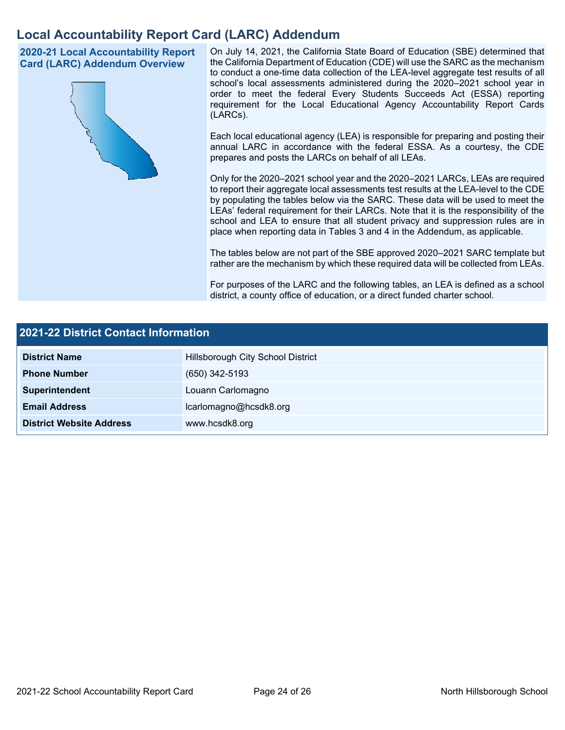# **Local Accountability Report Card (LARC) Addendum**

**2020-21 Local Accountability Report Card (LARC) Addendum Overview**



On July 14, 2021, the California State Board of Education (SBE) determined that the California Department of Education (CDE) will use the SARC as the mechanism to conduct a one-time data collection of the LEA-level aggregate test results of all school's local assessments administered during the 2020–2021 school year in order to meet the federal Every Students Succeeds Act (ESSA) reporting requirement for the Local Educational Agency Accountability Report Cards (LARCs).

Each local educational agency (LEA) is responsible for preparing and posting their annual LARC in accordance with the federal ESSA. As a courtesy, the CDE prepares and posts the LARCs on behalf of all LEAs.

Only for the 2020–2021 school year and the 2020–2021 LARCs, LEAs are required to report their aggregate local assessments test results at the LEA-level to the CDE by populating the tables below via the SARC. These data will be used to meet the LEAs' federal requirement for their LARCs. Note that it is the responsibility of the school and LEA to ensure that all student privacy and suppression rules are in place when reporting data in Tables 3 and 4 in the Addendum, as applicable.

The tables below are not part of the SBE approved 2020–2021 SARC template but rather are the mechanism by which these required data will be collected from LEAs.

For purposes of the LARC and the following tables, an LEA is defined as a school district, a county office of education, or a direct funded charter school.

| <b>2021-22 District Contact Information</b> |                                   |  |
|---------------------------------------------|-----------------------------------|--|
| <b>District Name</b>                        | Hillsborough City School District |  |
| <b>Phone Number</b>                         | $(650)$ 342-5193                  |  |
| Superintendent                              | Louann Carlomagno                 |  |
| <b>Email Address</b>                        | lcarlomagno@hcsdk8.org            |  |
| <b>District Website Address</b>             | www.hcsdk8.org                    |  |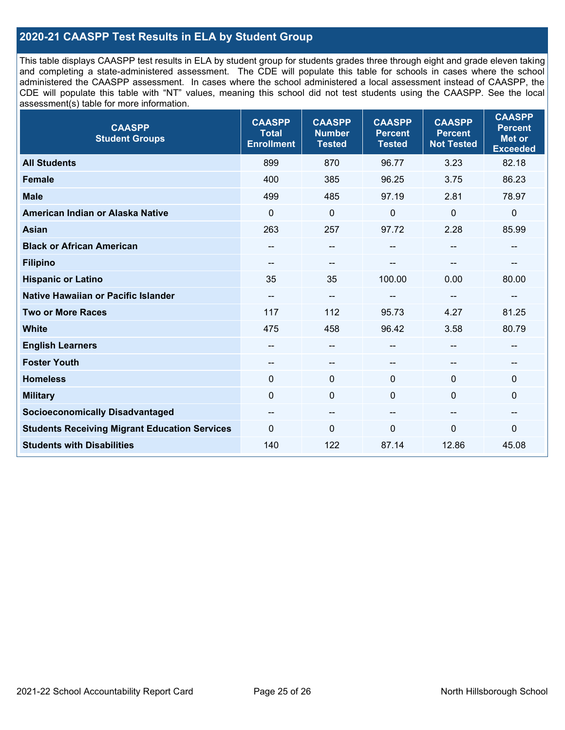# **2020-21 CAASPP Test Results in ELA by Student Group**

This table displays CAASPP test results in ELA by student group for students grades three through eight and grade eleven taking and completing a state-administered assessment. The CDE will populate this table for schools in cases where the school administered the CAASPP assessment. In cases where the school administered a local assessment instead of CAASPP, the CDE will populate this table with "NT" values, meaning this school did not test students using the CAASPP. See the local assessment(s) table for more information.

| <b>CAASPP</b><br><b>Student Groups</b>               | <b>CAASPP</b><br><b>Total</b><br><b>Enrollment</b> | <b>CAASPP</b><br><b>Number</b><br><b>Tested</b> | <b>CAASPP</b><br><b>Percent</b><br><b>Tested</b> | <b>CAASPP</b><br><b>Percent</b><br><b>Not Tested</b> | <b>CAASPP</b><br><b>Percent</b><br><b>Met or</b><br><b>Exceeded</b> |
|------------------------------------------------------|----------------------------------------------------|-------------------------------------------------|--------------------------------------------------|------------------------------------------------------|---------------------------------------------------------------------|
| <b>All Students</b>                                  | 899                                                | 870                                             | 96.77                                            | 3.23                                                 | 82.18                                                               |
| <b>Female</b>                                        | 400                                                | 385                                             | 96.25                                            | 3.75                                                 | 86.23                                                               |
| <b>Male</b>                                          | 499                                                | 485                                             | 97.19                                            | 2.81                                                 | 78.97                                                               |
| American Indian or Alaska Native                     | $\mathbf 0$                                        | $\pmb{0}$                                       | $\pmb{0}$                                        | 0                                                    | $\pmb{0}$                                                           |
| <b>Asian</b>                                         | 263                                                | 257                                             | 97.72                                            | 2.28                                                 | 85.99                                                               |
| <b>Black or African American</b>                     |                                                    | --                                              | --                                               | --                                                   | $\overline{\phantom{a}}$                                            |
| <b>Filipino</b>                                      |                                                    | --                                              |                                                  |                                                      |                                                                     |
| <b>Hispanic or Latino</b>                            | 35                                                 | 35                                              | 100.00                                           | 0.00                                                 | 80.00                                                               |
| Native Hawaiian or Pacific Islander                  | --                                                 | --                                              | --                                               | --                                                   | $\overline{\phantom{a}}$                                            |
| <b>Two or More Races</b>                             | 117                                                | 112                                             | 95.73                                            | 4.27                                                 | 81.25                                                               |
| <b>White</b>                                         | 475                                                | 458                                             | 96.42                                            | 3.58                                                 | 80.79                                                               |
| <b>English Learners</b>                              | --                                                 | --                                              | --                                               | --                                                   | --                                                                  |
| <b>Foster Youth</b>                                  | --                                                 | $\qquad \qquad -$                               | --                                               | --                                                   | --                                                                  |
| <b>Homeless</b>                                      | $\mathbf{0}$                                       | $\mathbf 0$                                     | $\mathbf 0$                                      | $\Omega$                                             | $\mathbf 0$                                                         |
| <b>Military</b>                                      | $\mathbf{0}$                                       | $\mathbf 0$                                     | $\mathbf 0$                                      | 0                                                    | $\mathbf 0$                                                         |
| <b>Socioeconomically Disadvantaged</b>               | $\overline{\phantom{m}}$                           | --                                              | --                                               | --                                                   | --                                                                  |
| <b>Students Receiving Migrant Education Services</b> | $\mathbf{0}$                                       | 0                                               | $\mathbf 0$                                      | $\mathbf{0}$                                         | 0                                                                   |
| <b>Students with Disabilities</b>                    | 140                                                | 122                                             | 87.14                                            | 12.86                                                | 45.08                                                               |